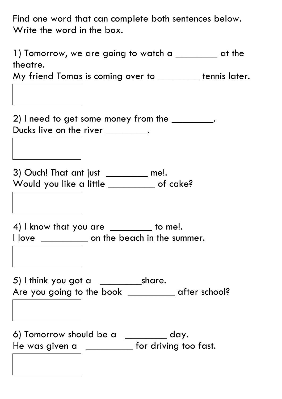Find one word that can complete both sentences below. Write the word in the box.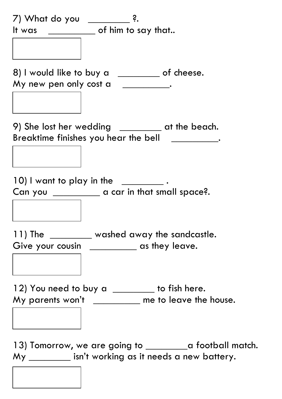